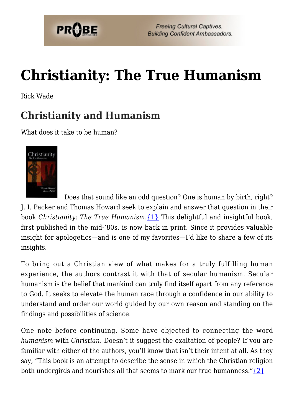

# **[Christianity: The True Humanism](https://probe.org/christianity-the-true-humanism/)**

Rick Wade

#### **Christianity and Humanism**

What does it take to be human?



 Does that sound like an odd question? One is human by birth, right? J. I. Packer and Thomas Howard seek to explain and answer that question in their book *Christianity: The True Humanism*.[{1}](#page-11-0) This delightful and insightful book, first published in the mid-'80s, is now back in print. Since it provides valuable insight for apologetics—and is one of my favorites—I'd like to share a few of its insights.

To bring out a Christian view of what makes for a truly fulfilling human experience, the authors contrast it with that of secular humanism. Secular humanism is the belief that mankind can truly find itself apart from any reference to God. It seeks to elevate the human race through a confidence in our ability to understand and order our world guided by our own reason and standing on the findings and possibilities of science.

One note before continuing. Some have objected to connecting the word *humanism* with *Christian*. Doesn't it suggest the exaltation of people? If you are familiar with either of the authors, you'll know that isn't their intent at all. As they say, "This book is an attempt to describe the sense in which the Christian religion both undergirds and nourishes all that seems to mark our true humanness." $\{2\}$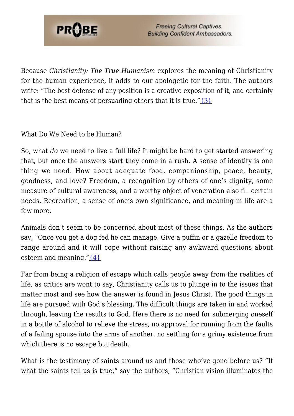

Because *Christianity: The True Humanism* explores the meaning of Christianity for the human experience, it adds to our apologetic for the faith. The authors write: "The best defense of any position is a creative exposition of it, and certainly that is the best means of persuading others that it is true." $\{3\}$ 

What Do We Need to be Human?

So, what *do* we need to live a full life? It might be hard to get started answering that, but once the answers start they come in a rush. A sense of identity is one thing we need. How about adequate food, companionship, peace, beauty, goodness, and love? Freedom, a recognition by others of one's dignity, some measure of cultural awareness, and a worthy object of veneration also fill certain needs. Recreation, a sense of one's own significance, and meaning in life are a few more.

Animals don't seem to be concerned about most of these things. As the authors say, "Once you get a dog fed he can manage. Give a puffin or a gazelle freedom to range around and it will cope without raising any awkward questions about esteem and meaning." $\{4\}$ 

Far from being a religion of escape which calls people away from the realities of life, as critics are wont to say, Christianity calls us to plunge in to the issues that matter most and see how the answer is found in Jesus Christ. The good things in life are pursued with God's blessing. The difficult things are taken in and worked through, leaving the results to God. Here there is no need for submerging oneself in a bottle of alcohol to relieve the stress, no approval for running from the faults of a failing spouse into the arms of another, no settling for a grimy existence from which there is no escape but death.

What is the testimony of saints around us and those who've gone before us? "If what the saints tell us is true," say the authors, "Christian vision illuminates the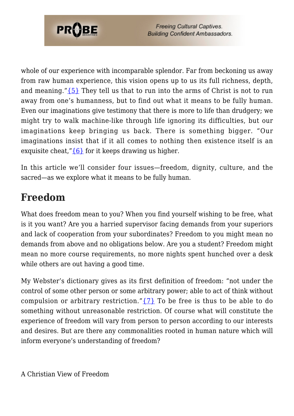

whole of our experience with incomparable splendor. Far from beckoning us away from raw human experience, this vision opens up to us its full richness, depth, and meaning." $\{5\}$  They tell us that to run into the arms of Christ is not to run away from one's humanness, but to find out what it means to be fully human. Even our imaginations give testimony that there is more to life than drudgery; we might try to walk machine-like through life ignoring its difficulties, but our imaginations keep bringing us back. There is something bigger. "Our imaginations insist that if it all comes to nothing then existence itself is an exquisite cheat," ${6}$  for it keeps drawing us higher.

In this article we'll consider four issues—freedom, dignity, culture, and the sacred—as we explore what it means to be fully human.

### **Freedom**

What does freedom mean to you? When you find yourself wishing to be free, what is it you want? Are you a harried supervisor facing demands from your superiors and lack of cooperation from your subordinates? Freedom to you might mean no demands from above and no obligations below. Are you a student? Freedom might mean no more course requirements, no more nights spent hunched over a desk while others are out having a good time.

My Webster's dictionary gives as its first definition of freedom: "not under the control of some other person or some arbitrary power; able to act of think without compulsion or arbitrary restriction." $\{7\}$  To be free is thus to be able to do something without unreasonable restriction. Of course what will constitute the experience of freedom will vary from person to person according to our interests and desires. But are there any commonalities rooted in human nature which will inform everyone's understanding of freedom?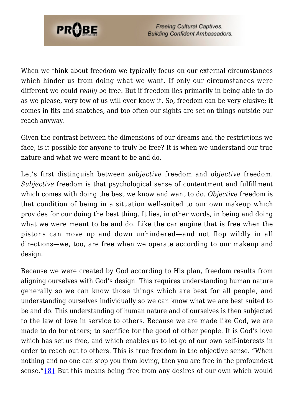

When we think about freedom we typically focus on our external circumstances which hinder us from doing what we want. If only our circumstances were different we could *really* be free. But if freedom lies primarily in being able to do as we please, very few of us will ever know it. So, freedom can be very elusive; it comes in fits and snatches, and too often our sights are set on things outside our reach anyway.

Given the contrast between the dimensions of our dreams and the restrictions we face, is it possible for anyone to truly be free? It is when we understand our true nature and what we were meant to be and do.

Let's first distinguish between *subjective* freedom and *objective* freedom. *Subjective* freedom is that psychological sense of contentment and fulfillment which comes with doing the best we know and want to do. *Objective* freedom is that condition of being in a situation well-suited to our own makeup which provides for our doing the best thing. It lies, in other words, in being and doing what we were meant to be and do. Like the car engine that is free when the pistons can move up and down unhindered—and not flop wildly in all directions—we, too, are free when we operate according to our makeup and design.

Because we were created by God according to His plan, freedom results from aligning ourselves with God's design. This requires understanding human nature generally so we can know those things which are best for all people, and understanding ourselves individually so we can know what we are best suited to be and do. This understanding of human nature and of ourselves is then subjected to the law of love in service to others. Because we are made like God, we are made to do for others; to sacrifice for the good of other people. It is God's love which has set us free, and which enables us to let go of our own self-interests in order to reach out to others. This is true freedom in the objective sense. "When nothing and no one can stop you from loving, then you are free in the profoundest sense." $\{8\}$  But this means being free from any desires of our own which would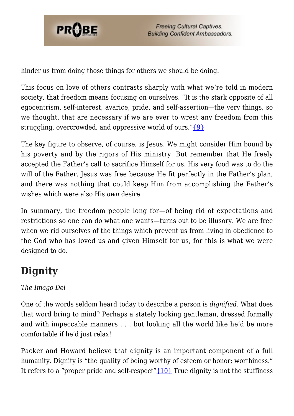

hinder us from doing those things for others we should be doing.

This focus on love of others contrasts sharply with what we're told in modern society, that freedom means focusing on ourselves. "It is the stark opposite of all egocentrism, self-interest, avarice, pride, and self-assertion—the very things, so we thought, that are necessary if we are ever to wrest any freedom from this struggling, overcrowded, and oppressive world of ours." $\{9\}$ 

The key figure to observe, of course, is Jesus. We might consider Him bound by his poverty and by the rigors of His ministry. But remember that He freely accepted the Father's call to sacrifice Himself for us. His very food was to do the will of the Father. Jesus was free because He fit perfectly in the Father's plan, and there was nothing that could keep Him from accomplishing the Father's wishes which were also His *own* desire.

In summary, the freedom people long for—of being rid of expectations and restrictions so one can do what one wants—turns out to be illusory. We are free when we rid ourselves of the things which prevent us from living in obedience to the God who has loved us and given Himself for us, for this is what we were designed to do.

# **Dignity**

#### *The Imago Dei*

One of the words seldom heard today to describe a person is *dignified*. What does that word bring to mind? Perhaps a stately looking gentleman, dressed formally and with impeccable manners . . . but looking all the world like he'd be more comfortable if he'd just relax!

Packer and Howard believe that dignity is an important component of a full humanity. Dignity is "the quality of being worthy of esteem or honor; worthiness." It refers to a "proper pride and self-respect" ${10}$  True dignity is not the stuffiness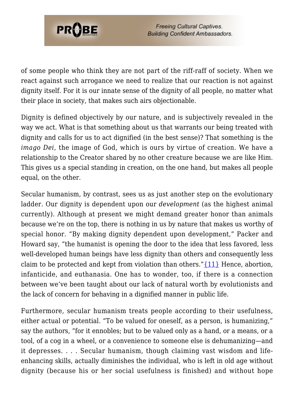

of some people who think they are not part of the riff-raff of society. When we react against such arrogance we need to realize that our reaction is not against dignity itself. For it is our innate sense of the dignity of all people, no matter what their place in society, that makes such airs objectionable.

Dignity is defined objectively by our nature, and is subjectively revealed in the way we act. What is that something about us that warrants our being treated with dignity and calls for us to act dignified (in the best sense)? That something is the *imago Dei*, the image of God, which is ours by virtue of creation. We have a relationship to the Creator shared by no other creature because we are like Him. This gives us a special standing in creation, on the one hand, but makes all people equal, on the other.

Secular humanism, by contrast, sees us as just another step on the evolutionary ladder. Our dignity is dependent upon our *development* (as the highest animal currently). Although at present we might demand greater honor than animals because we're on the top, there is nothing in us by nature that makes us worthy of special honor. "By making dignity dependent upon development," Packer and Howard say, "the humanist is opening the door to the idea that less favored, less well-developed human beings have less dignity than others and consequently less claim to be protected and kept from violation than others." $\{11\}$  Hence, abortion, infanticide, and euthanasia. One has to wonder, too, if there is a connection between we've been taught about our lack of natural worth by evolutionists and the lack of concern for behaving in a dignified manner in public life.

Furthermore, secular humanism treats people according to their usefulness, either actual or potential. "To be valued for oneself, as a person, is humanizing," say the authors, "for it ennobles; but to be valued only as a hand, or a means, or a tool, of a cog in a wheel, or a convenience to someone else is dehumanizing—and it depresses. . . . Secular humanism, though claiming vast wisdom and lifeenhancing skills, actually diminishes the individual, who is left in old age without dignity (because his or her social usefulness is finished) and without hope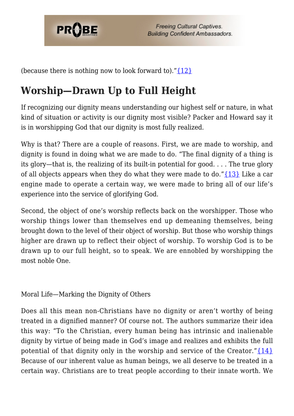

(because there is nothing now to look forward to)." $\{12\}$ 

## **Worship—Drawn Up to Full Height**

If recognizing our dignity means understanding our highest self or nature, in what kind of situation or activity is our dignity most visible? Packer and Howard say it is in worshipping God that our dignity is most fully realized.

Why is that? There are a couple of reasons. First, we are made to worship, and dignity is found in doing what we are made to do. "The final dignity of a thing is its glory—that is, the realizing of its built-in potential for good. . . . The true glory of all objects appears when they do what they were made to do." $\{13\}$  Like a car engine made to operate a certain way, we were made to bring all of our life's experience into the service of glorifying God.

Second, the object of one's worship reflects back on the worshipper. Those who worship things lower than themselves end up demeaning themselves, being brought down to the level of their object of worship. But those who worship things higher are drawn up to reflect their object of worship. To worship God is to be drawn up to our full height, so to speak. We are ennobled by worshipping the most noble One.

Moral Life—Marking the Dignity of Others

Does all this mean non-Christians have no dignity or aren't worthy of being treated in a dignified manner? Of course not. The authors summarize their idea this way: "To the Christian, every human being has intrinsic and inalienable dignity by virtue of being made in God's image and realizes and exhibits the full potential of that dignity only in the worship and service of the Creator." $\{14\}$ Because of our inherent value as human beings, we all deserve to be treated in a certain way. Christians are to treat people according to their innate worth. We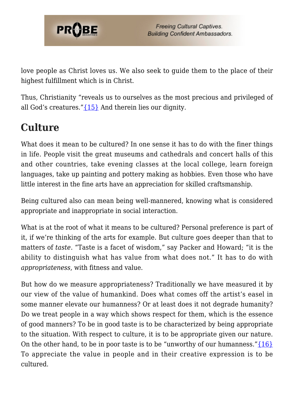

love people as Christ loves us. We also seek to guide them to the place of their highest fulfillment which is in Christ.

Thus, Christianity "reveals us to ourselves as the most precious and privileged of all God's creatures.["{15}](#page-12-9) And therein lies our dignity.

### **Culture**

What does it mean to be cultured? In one sense it has to do with the finer things in life. People visit the great museums and cathedrals and concert halls of this and other countries, take evening classes at the local college, learn foreign languages, take up painting and pottery making as hobbies. Even those who have little interest in the fine arts have an appreciation for skilled craftsmanship.

Being cultured also can mean being well-mannered, knowing what is considered appropriate and inappropriate in social interaction.

What is at the root of what it means to be cultured? Personal preference is part of it, if we're thinking of the arts for example. But culture goes deeper than that to matters of *taste*. "Taste is a facet of wisdom," say Packer and Howard; "it is the ability to distinguish what has value from what does not." It has to do with *appropriateness*, with fitness and value.

But how do we measure appropriateness? Traditionally we have measured it by our view of the value of humankind. Does what comes off the artist's easel in some manner elevate our humanness? Or at least does it not degrade humanity? Do we treat people in a way which shows respect for them, which is the essence of good manners? To be in good taste is to be characterized by being appropriate to the situation. With respect to culture, it is to be appropriate given our nature. On the other hand, to be in poor taste is to be "unworthy of our humanness." $\{16\}$ To appreciate the value in people and in their creative expression is to be cultured.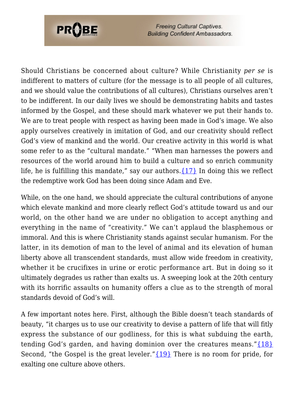

**Freeing Cultural Captives. Building Confident Ambassadors.** 

Should Christians be concerned about culture? While Christianity *per se* is indifferent to matters of culture (for the message is to all people of all cultures, and we should value the contributions of all cultures), Christians ourselves aren't to be indifferent. In our daily lives we should be demonstrating habits and tastes informed by the Gospel, and these should mark whatever we put their hands to. We are to treat people with respect as having been made in God's image. We also apply ourselves creatively in imitation of God, and our creativity should reflect God's view of mankind and the world. Our creative activity in this world is what some refer to as the "cultural mandate." "When man harnesses the powers and resources of the world around him to build a culture and so enrich community life, he is fulfilling this mandate," say our authors.  $\{17\}$  In doing this we reflect the redemptive work God has been doing since Adam and Eve.

While, on the one hand, we should appreciate the cultural contributions of anyone which elevate mankind and more clearly reflect God's attitude toward us and our world, on the other hand we are under no obligation to accept anything and everything in the name of "creativity." We can't applaud the blasphemous or immoral. And this is where Christianity stands against secular humanism. For the latter, in its demotion of man to the level of animal and its elevation of human liberty above all transcendent standards, must allow wide freedom in creativity, whether it be crucifixes in urine or erotic performance art. But in doing so it ultimately degrades us rather than exalts us. A sweeping look at the 20th century with its horrific assaults on humanity offers a clue as to the strength of moral standards devoid of God's will.

A few important notes here. First, although the Bible doesn't teach standards of beauty, "it charges us to use our creativity to devise a pattern of life that will fitly express the substance of our godliness, for this is what subduing the earth, tending God's garden, and having dominion over the creatures means." ${18}$ Second, "the Gospel is the great leveler." ${19}$  There is no room for pride, for exalting one culture above others.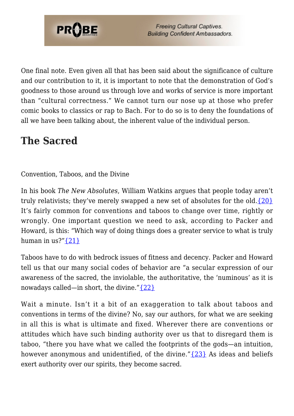

One final note. Even given all that has been said about the significance of culture and our contribution to it, it is important to note that the demonstration of God's goodness to those around us through love and works of service is more important than "cultural correctness." We cannot turn our nose up at those who prefer comic books to classics or rap to Bach. For to do so is to deny the foundations of all we have been talking about, the inherent value of the individual person.

### **The Sacred**

Convention, Taboos, and the Divine

In his book *The New Absolutes*, William Watkins argues that people today aren't truly relativists; they've merely swapped a new set of absolutes for the old. $\{20\}$ It's fairly common for conventions and taboos to change over time, rightly or wrongly. One important question we need to ask, according to Packer and Howard, is this: "Which way of doing things does a greater service to what is truly human in  $\frac{1}{21}$  $\frac{1}{21}$ 

Taboos have to do with bedrock issues of fitness and decency. Packer and Howard tell us that our many social codes of behavior are "a secular expression of our awareness of the sacred, the inviolable, the authoritative, the 'numinous' as it is nowadays called—in short, the divine." $\{22\}$ 

Wait a minute. Isn't it a bit of an exaggeration to talk about taboos and conventions in terms of the divine? No, say our authors, for what we are seeking in all this is what is ultimate and fixed. Wherever there are conventions or attitudes which have such binding authority over us that to disregard them is taboo, "there you have what we called the footprints of the gods—an intuition, however anonymous and unidentified, of the divine." $\{23\}$  As ideas and beliefs exert authority over our spirits, they become sacred.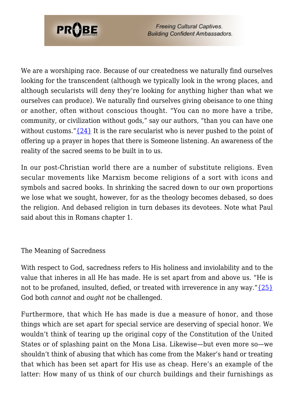

**Freeing Cultural Captives. Building Confident Ambassadors.** 

We are a worshiping race. Because of our createdness we naturally find ourselves looking for the transcendent (although we typically look in the wrong places, and although secularists will deny they're looking for anything higher than what we ourselves can produce). We naturally find ourselves giving obeisance to one thing or another, often without conscious thought. "You can no more have a tribe, community, or civilization without gods," say our authors, "than you can have one without customs." $\{24\}$  It is the rare secularist who is never pushed to the point of offering up a prayer in hopes that there is Someone listening. An awareness of the reality of the sacred seems to be built in to us.

In our post-Christian world there are a number of substitute religions. Even secular movements like Marxism become religions of a sort with icons and symbols and sacred books. In shrinking the sacred down to our own proportions we lose what we sought, however, for as the theology becomes debased, so does the religion. And debased religion in turn debases its devotees. Note what Paul said about this in Romans chapter 1.

#### The Meaning of Sacredness

With respect to God, sacredness refers to His holiness and inviolability and to the value that inheres in all He has made. He is set apart from and above us. "He is not to be profaned, insulted, defied, or treated with irreverence in any way." $\{25\}$ God both *cannot* and *ought not* be challenged.

Furthermore, that which He has made is due a measure of honor, and those things which are set apart for special service are deserving of special honor. We wouldn't think of tearing up the original copy of the Constitution of the United States or of splashing paint on the Mona Lisa. Likewise—but even more so—we shouldn't think of abusing that which has come from the Maker's hand or treating that which has been set apart for His use as cheap. Here's an example of the latter: How many of us think of our church buildings and their furnishings as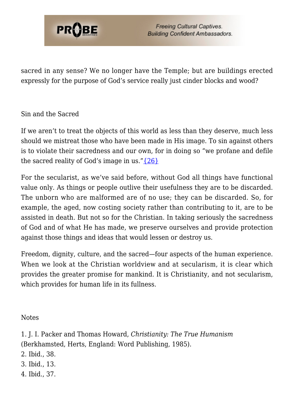

**Freeing Cultural Captives. Building Confident Ambassadors.** 

sacred in any sense? We no longer have the Temple; but are buildings erected expressly for the purpose of God's service really just cinder blocks and wood?

#### Sin and the Sacred

If we aren't to treat the objects of this world as less than they deserve, much less should we mistreat those who have been made in His image. To sin against others is to violate their sacredness and our own, for in doing so "we profane and defile the sacred reality of God's image in us." $\{26\}$ 

For the secularist, as we've said before, without God all things have functional value only. As things or people outlive their usefulness they are to be discarded. The unborn who are malformed are of no use; they can be discarded. So, for example, the aged, now costing society rather than contributing to it, are to be assisted in death. But not so for the Christian. In taking seriously the sacredness of God and of what He has made, we preserve ourselves and provide protection against those things and ideas that would lessen or destroy us.

Freedom, dignity, culture, and the sacred—four aspects of the human experience. When we look at the Christian worldview and at secularism, it is clear which provides the greater promise for mankind. It is Christianity, and not secularism, which provides for human life in its fullness.

Notes

<span id="page-11-0"></span>1. J. I. Packer and Thomas Howard, *Christianity: The True Humanism* (Berkhamsted, Herts, England: Word Publishing, 1985).

- <span id="page-11-1"></span>2. Ibid., 38.
- <span id="page-11-2"></span>3. Ibid., 13.
- <span id="page-11-4"></span><span id="page-11-3"></span>4. Ibid., 37.